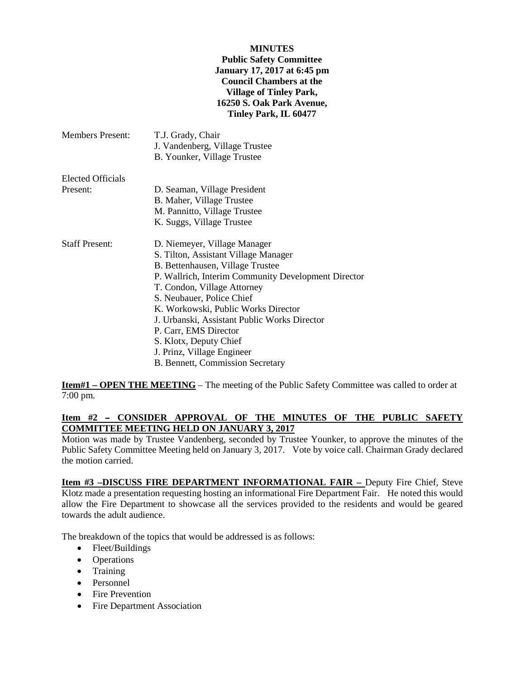#### **MINUTES**

### **Public Safety Committee January 17, 2017 at 6:45 pm Council Chambers at the Village of Tinley Park, 16250 S. Oak Park Avenue, Tinley Park, IL 60477**

| <b>Members Present:</b>              | T.J. Grady, Chair<br>J. Vandenberg, Village Trustee<br>B. Younker, Village Trustee |
|--------------------------------------|------------------------------------------------------------------------------------|
| <b>Elected Officials</b><br>Present: | D. Seaman, Village President                                                       |
|                                      | B. Maher, Village Trustee                                                          |
|                                      | M. Pannitto, Village Trustee                                                       |
|                                      | K. Suggs, Village Trustee                                                          |
| <b>Staff Present:</b>                | D. Niemeyer, Village Manager                                                       |
|                                      | S. Tilton, Assistant Village Manager                                               |
|                                      | B. Bettenhausen, Village Trustee                                                   |
|                                      | P. Wallrich, Interim Community Development Director                                |
|                                      | T. Condon, Village Attorney                                                        |
|                                      | S. Neubauer, Police Chief                                                          |
|                                      | K. Workowski, Public Works Director                                                |
|                                      | J. Urbanski, Assistant Public Works Director                                       |
|                                      | P. Carr, EMS Director                                                              |
|                                      | S. Klotx, Deputy Chief                                                             |
|                                      | J. Prinz, Village Engineer                                                         |
|                                      | B. Bennett, Commission Secretary                                                   |
|                                      |                                                                                    |

**Item#1 – OPEN THE MEETING** – The meeting of the Public Safety Committee was called to order at 7:00 pm.

# Item #2 - CONSIDER APPROVAL OF THE MINUTES OF THE PUBLIC SAFETY **COMMITTEE MEETING HELD ON JANUARY 3, 2017**

Motion was made by Trustee Vandenberg, seconded by Trustee Younker, to approve the minutes of the Public Safety Committee Meeting held on January 3, 2017. Vote by voice call. Chairman Grady declared the motion carried.

**Item #3 –DISCUSS FIRE DEPARTMENT INFORMATIONAL FAIR –** Deputy Fire Chief, Steve Klotz made a presentation requesting hosting an informational Fire Department Fair. He noted this would allow the Fire Department to showcase all the services provided to the residents and would be geared towards the adult audience.

The breakdown of the topics that would be addressed is as follows:

- Fleet/Buildings
- Operations
- Training
- Personnel
- Fire Prevention
- Fire Department Association